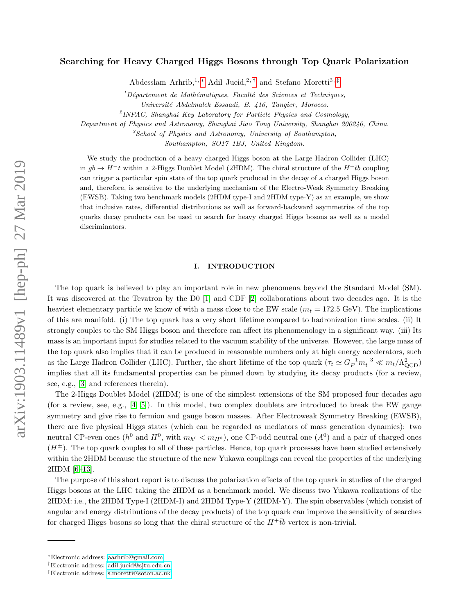# Searching for Heavy Charged Higgs Bosons through Top Quark Polarization

Abdesslam Arhrib,<sup>1,\*</sup> Adil Jueid,<sup>2,[†](#page-0-1)</sup> and Stefano Moretti<sup>3,[‡](#page-0-2)</sup>

 $1$ Département de Mathématiques, Faculté des Sciences et Techniques,

 $^{2}$ INPAC, Shanghai Key Laboratory for Particle Physics and Cosmology,

Department of Physics and Astronomy, Shanghai Jiao Tong University, Shanghai 200240, China.

 ${}^{3}S$ chool of Physics and Astronomy, University of Southampton,

Southampton, SO17 1BJ, United Kingdom.

We study the production of a heavy charged Higgs boson at the Large Hadron Collider (LHC) in  $gb \to H^-t$  within a 2-Higgs Doublet Model (2HDM). The chiral structure of the  $H^+\bar{t}b$  coupling can trigger a particular spin state of the top quark produced in the decay of a charged Higgs boson and, therefore, is sensitive to the underlying mechanism of the Electro-Weak Symmetry Breaking (EWSB). Taking two benchmark models (2HDM type-I and 2HDM type-Y) as an example, we show that inclusive rates, differential distributions as well as forward-backward asymmetries of the top quarks decay products can be used to search for heavy charged Higgs bosons as well as a model discriminators.

## I. INTRODUCTION

The top quark is believed to play an important role in new phenomena beyond the Standard Model (SM). It was discovered at the Tevatron by the D0 [\[1\]](#page-5-0) and CDF [\[2\]](#page-5-1) collaborations about two decades ago. It is the heaviest elementary particle we know of with a mass close to the EW scale  $(m_t = 172.5 \text{ GeV})$ . The implications of this are manifold. (i) The top quark has a very short lifetime compared to hadronization time scales. (ii) It strongly couples to the SM Higgs boson and therefore can affect its phenomenology in a significant way. (iii) Its mass is an important input for studies related to the vacuum stability of the universe. However, the large mass of the top quark also implies that it can be produced in reasonable numbers only at high energy accelerators, such as the Large Hadron Collider (LHC). Further, the short lifetime of the top quark  $(\tau_t \simeq G_F^{-1} m_t^{-3} \ll m_t/\Lambda_{\text{QCD}}^2)$ implies that all its fundamental properties can be pinned down by studying its decay products (for a review, see, e.g., [\[3\]](#page-5-2) and references therein).

The 2-Higgs Doublet Model (2HDM) is one of the simplest extensions of the SM proposed four decades ago (for a review, see, e.g., [\[4,](#page-5-3) [5\]](#page-5-4)). In this model, two complex doublets are introduced to break the EW gauge symmetry and give rise to fermion and gauge boson masses. After Electroweak Symmetry Breaking (EWSB), there are five physical Higgs states (which can be regarded as mediators of mass generation dynamics): two neutral CP-even ones ( $h^0$  and  $H^0$ , with  $m_{h^0} < m_{H^0}$ ), one CP-odd neutral one ( $A^0$ ) and a pair of charged ones  $(H^{\pm})$ . The top quark couples to all of these particles. Hence, top quark processes have been studied extensively within the 2HDM because the structure of the new Yukawa couplings can reveal the properties of the underlying 2HDM [\[6](#page-5-5)[–13\]](#page-5-6).

The purpose of this short report is to discuss the polarization effects of the top quark in studies of the charged Higgs bosons at the LHC taking the 2HDM as a benchmark model. We discuss two Yukawa realizations of the 2HDM: i.e., the 2HDM Type-I (2HDM-I) and 2HDM Type-Y (2HDM-Y). The spin observables (which consist of angular and energy distributions of the decay products) of the top quark can improve the sensitivity of searches for charged Higgs bosons so long that the chiral structure of the  $H^+t\bar{b}$  vertex is non-trivial.

Universit´e Abdelmalek Essaadi, B. 416, Tangier, Morocco.

<span id="page-0-0"></span><sup>∗</sup>Electronic address: [aarhrib@gmail.com](mailto:aarhrib@gmail.com)

<span id="page-0-1"></span><sup>†</sup>Electronic address: [adil.jueid@sjtu.edu.cn](mailto:adil.jueid@sjtu.edu.cn)

<span id="page-0-2"></span><sup>‡</sup>Electronic address: [s.moretti@soton.ac.uk](mailto:s.moretti@soton.ac.uk)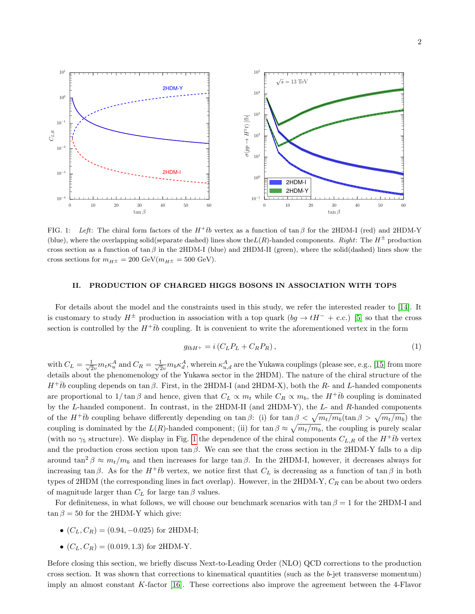

2



<span id="page-1-0"></span>FIG. 1: Left: The chiral form factors of the  $H^+\bar{t}b$  vertex as a function of tan β for the 2HDM-I (red) and 2HDM-Y (blue), where the overlapping solid(separate dashed) lines show the  $L(R)$ -handed components. Right: The  $H^{\pm}$  production cross section as a function of tan  $\beta$  in the 2HDM-I (blue) and 2HDM-II (green), where the solid(dashed) lines show the cross sections for  $m_{H^{\pm}} = 200 \text{ GeV} (m_{H^{\pm}} = 500 \text{ GeV}).$ 

# II. PRODUCTION OF CHARGED HIGGS BOSONS IN ASSOCIATION WITH TOPS

For details about the model and the constraints used in this study, we refer the interested reader to [\[14\]](#page-5-7). It is customary to study  $H^{\pm}$  production in association with a top quark  $(bg \to tH^{-} + c.c.)$  [\[5\]](#page-5-4) so that the cross section is controlled by the  $H^+t\bar{b}$  coupling. It is convenient to write the aforementioned vertex in the form

$$
g_{\bar{t}bH^{+}} = i\left(C_{L}P_{L} + C_{R}P_{R}\right),\tag{1}
$$

with  $C_L = \frac{1}{\sqrt{2}}$  $\frac{1}{2v}m_t\kappa_u^A$  and  $C_R = \frac{1}{\sqrt{2}}$  $\frac{1}{2v}m_b\kappa_d^A$ , wherein  $\kappa_{u,d}^A$  are the Yukawa couplings (please see, e.g., [\[15\]](#page-5-8) from more details about the phenomenology of the Yukawa sector in the 2HDM). The nature of the chiral structure of the  $H^+t\bar{b}$  coupling depends on tan  $\beta$ . First, in the 2HDM-I (and 2HDM-X), both the R- and L-handed components are proportional to  $1/\tan \beta$  and hence, given that  $C_L \propto m_t$  while  $C_R \propto m_b$ , the  $H^+ \bar{t}b$  coupling is dominated by the L-handed component. In contrast, in the 2HDM-II (and 2HDM-Y), the L- and R-handed components of the  $H^+ \bar{t}b$  coupling behave differently depending on tan β: (i) for tan  $\beta < \sqrt{m_t/m_b}$  (tan  $\beta > \sqrt{m_t/m_b}$ ) the coupling is dominated by the  $L(R)$ -handed component; (ii) for tan  $\beta \approx \sqrt{m_t/m_b}$ , the coupling is purely scalar (with no  $\gamma_5$  structure). We display in Fig. [1](#page-1-0) the dependence of the chiral components  $C_{L,R}$  of the  $H^+ \bar{t}b$  vertex and the production cross section upon tan  $\beta$ . We can see that the cross section in the 2HDM-Y falls to a dip around tan<sup>2</sup>  $\beta \approx m_t/m_b$  and then increases for large tan  $\beta$ . In the 2HDM-I, however, it decreases always for increasing tan β. As for the  $H^+t\bar{b}$  vertex, we notice first that  $C_L$  is decreasing as a function of tan β in both types of 2HDM (the corresponding lines in fact overlap). However, in the 2HDM-Y,  $C_R$  can be about two orders of magnitude larger than  $C_L$  for large tan  $\beta$  values.

For definiteness, in what follows, we will choose our benchmark scenarios with tan  $\beta = 1$  for the 2HDM-I and  $\tan \beta = 50$  for the 2HDM-Y which give:

- $(C_L, C_R) = (0.94, -0.025)$  for 2HDM-I;
- $(C_L, C_R) = (0.019, 1.3)$  for 2HDM-Y.

Before closing this section, we briefly discuss Next-to-Leading Order (NLO) QCD corrections to the production cross section. It was shown that corrections to kinematical quantities (such as the b-jet transverse momentum) imply an almost constant K-factor [\[16\]](#page-5-9). These corrections also improve the agreement between the 4-Flavor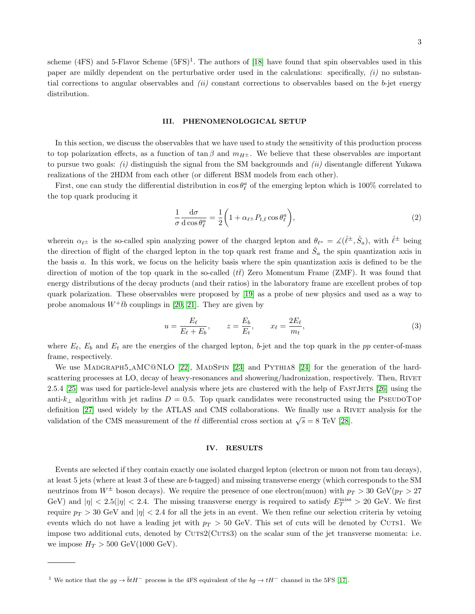scheme (4FS) and 5-Flavor Scheme  $(5FS)^1$ . The authors of [\[18\]](#page-5-10) have found that spin observables used in this paper are mildly dependent on the perturbative order used in the calculations: specifically,  $(i)$  no substantial corrections to angular observables and  $(ii)$  constant corrections to observables based on the b-jet energy distribution.

## III. PHENOMENOLOGICAL SETUP

In this section, we discuss the observables that we have used to study the sensitivity of this production process to top polarization effects, as a function of tan  $\beta$  and  $m_{H^{\pm}}$ . We believe that these observables are important to pursue two goals: (i) distinguish the signal from the SM backgrounds and (ii) disentangle different Yukawa realizations of the 2HDM from each other (or different BSM models from each other).

First, one can study the differential distribution in  $\cos \theta_{\ell}^a$  of the emerging lepton which is 100% correlated to the top quark producing it

<span id="page-2-0"></span>
$$
\frac{1}{\sigma} \frac{d\sigma}{d\cos\theta_{\ell}^a} = \frac{1}{2} \left( 1 + \alpha_{\ell^{\pm}} P_{t,\bar{t}} \cos\theta_{\ell}^a \right),\tag{2}
$$

wherein  $\alpha_{\ell}$  is the so-called spin analyzing power of the charged lepton and  $\theta_{\ell^a} = \angle(\hat{\ell}^{\pm}, \hat{S}_a)$ , with  $\hat{\ell}^{\pm}$  being the direction of flight of the charged lepton in the top quark rest frame and  $\hat{S}_a$  the spin quantization axis in the basis a. In this work, we focus on the helicity basis where the spin quantization axis is defined to be the direction of motion of the top quark in the so-called  $(t\bar{t})$  Zero Momentum Frame (ZMF). It was found that energy distributions of the decay products (and their ratios) in the laboratory frame are excellent probes of top quark polarization. These observables were proposed by [\[19\]](#page-5-11) as a probe of new physics and used as a way to probe anomalous  $W^+ \bar{t}b$  couplings in [\[20,](#page-5-12) [21\]](#page-6-0). They are given by

<span id="page-2-1"></span>
$$
u = \frac{E_{\ell}}{E_{\ell} + E_b}, \qquad z = \frac{E_b}{E_t}, \qquad x_{\ell} = \frac{2E_{\ell}}{m_t}, \tag{3}
$$

where  $E_{\ell}$ ,  $E_b$  and  $E_t$  are the energies of the charged lepton, b-jet and the top quark in the pp center-of-mass frame, respectively.

We use MADGRAPH5\_AMC@NLO [\[22\]](#page-6-1), MADSPIN [\[23\]](#page-6-2) and PYTHIA8 [\[24\]](#page-6-3) for the generation of the hardscattering processes at LO, decay of heavy-resonances and showering/hadronization, respectively. Then, RIVET 2.5.4 [\[25\]](#page-6-4) was used for particle-level analysis where jets are clustered with the help of FASTJETS [\[26\]](#page-6-5) using the anti-k⊥ algorithm with jet radius  $D = 0.5$ . Top quark candidates were reconstructed using the PSEUDOTOP definition [\[27\]](#page-6-6) used widely by the ATLAS and CMS collaborations. We finally use a RIVET analysis for the validation of the CMS measurement of the  $t\bar{t}$  differential cross section at  $\sqrt{s} = 8$  TeV [\[28\]](#page-6-7).

## IV. RESULTS

Events are selected if they contain exactly one isolated charged lepton (electron or muon not from tau decays), at least 5 jets (where at least 3 of these are b-tagged) and missing transverse energy (which corresponds to the SM neutrinos from  $W^{\pm}$  boson decays). We require the presence of one electron(muon) with  $p_T > 30$  GeV( $p_T > 27$ GeV) and  $|\eta| < 2.5(|\eta| < 2.4$ . The missing transverse energy is required to satisfy  $E_T^{\text{miss}} > 20$  GeV. We first require  $p_T > 30$  GeV and  $|\eta| < 2.4$  for all the jets in an event. We then refine our selection criteria by vetoing events which do not have a leading jet with  $p_T > 50$  GeV. This set of cuts will be denoted by CUTS1. We impose two additional cuts, denoted by CUTS2(CUTS3) on the scalar sum of the jet transverse momenta: i.e. we impose  $H_T > 500$  GeV(1000 GeV).

<sup>&</sup>lt;sup>1</sup> We notice that the  $gg \to \bar{b}tH^-$  process is the 4FS equivalent of the  $bg \to tH^-$  channel in the 5FS [\[17\]](#page-5-13).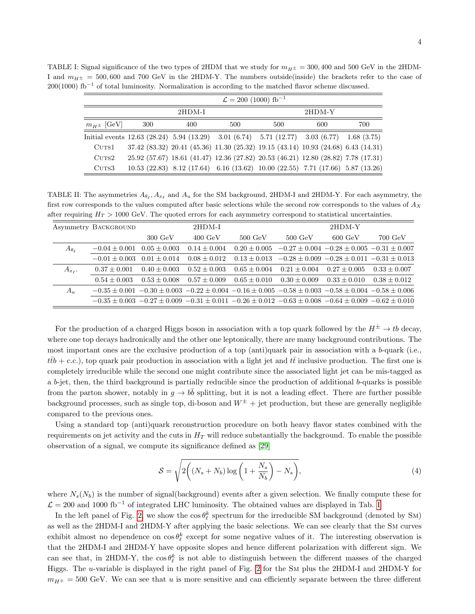<span id="page-3-0"></span>

| TABLE I: Signal significance of the two types of 2HDM that we study for $m_{H\pm} = 300,400$ and 500 GeV in the 2HDM- |  |  |
|-----------------------------------------------------------------------------------------------------------------------|--|--|
| I and $m_{H^+}$ = 500,600 and 700 GeV in the 2HDM-Y. The numbers outside (inside) the brackets refer to the case of   |  |  |
| $200(1000)$ fb <sup>-1</sup> of total luminosity. Normalization is according to the matched flavor scheme discussed.  |  |  |

| $\mathcal{L} = 200$ (1000) fb <sup>-1</sup> |                                                                                                                    |     |     |                                                                                    |     |     |  |
|---------------------------------------------|--------------------------------------------------------------------------------------------------------------------|-----|-----|------------------------------------------------------------------------------------|-----|-----|--|
| 2HDM-I                                      |                                                                                                                    |     |     | $2HDM-Y$                                                                           |     |     |  |
| $m_{H^{\pm}}$ [GeV]                         | 300                                                                                                                | 400 | 500 | 500                                                                                | 600 | 700 |  |
|                                             | Initial events $12.63$ $(28.24)$ $5.94$ $(13.29)$ $3.01$ $(6.74)$ $5.71$ $(12.77)$ $3.03$ $(6.77)$ $1.68$ $(3.75)$ |     |     |                                                                                    |     |     |  |
| CUTS1                                       |                                                                                                                    |     |     | 37.42 (83.32) 20.41 (45.36) 11.30 (25.32) 19.15 (43.14) 10.93 (24.68) 6.43 (14.31) |     |     |  |
| CUTS2                                       |                                                                                                                    |     |     | 25.92 (57.67) 18.61 (41.47) 12.36 (27.82) 20.53 (46.21) 12.80 (28.82) 7.78 (17.31) |     |     |  |
| CUTS3                                       |                                                                                                                    |     |     | 10.53 (22.83) 8.12 (17.64) 6.16 (13.62) 10.00 (22.55) 7.71 (17.66) 5.87 (13.26)    |     |     |  |

<span id="page-3-1"></span>TABLE II: The asymmetries  $A_{\theta_{\ell}}, A_{x_{\ell}}$  and  $A_u$  for the SM background, 2HDM-I and 2HDM-Y. For each asymmetry, the first row corresponds to the values computed after basic selections while the second row corresponds to the values of  $A_X$ after requiring  $H_T > 1000$  GeV. The quoted errors for each asymmetry correspond to statistical uncertainties.

|                     | Asymmetry BACKGROUND |                   | 2HDM-I            |                   |                                                                                                                               | 2HDM-Y                                            |                   |
|---------------------|----------------------|-------------------|-------------------|-------------------|-------------------------------------------------------------------------------------------------------------------------------|---------------------------------------------------|-------------------|
|                     |                      | $300 \text{ GeV}$ | $400 \text{ GeV}$ | $500 \text{ GeV}$ | $500 \text{ GeV}$                                                                                                             | $600 \text{ GeV}$                                 | $700 \text{ GeV}$ |
| $A_{\theta_{\ell}}$ | $-0.04 \pm 0.001$    | $0.05 + 0.003$    | $0.14 \pm 0.004$  | $0.20 + 0.005$    |                                                                                                                               | $-0.27 \pm 0.004 -0.28 \pm 0.005 -0.31 \pm 0.007$ |                   |
|                     | $-0.01 + 0.003$      | $0.01 + 0.014$    | $0.08 \pm 0.012$  | $0.13 + 0.013$    |                                                                                                                               | $-0.28 \pm 0.009 -0.28 \pm 0.011 -0.31 \pm 0.013$ |                   |
| $A_{x_{\ell}}$ .    | $0.37 + 0.001$       | $0.40 \pm 0.003$  | $0.52 \pm 0.003$  | $0.65 + 0.004$    | $0.21 \pm 0.004$                                                                                                              | $0.27 + 0.005$                                    | $0.33 + 0.007$    |
|                     | $0.54 + 0.003$       | $0.53 \pm 0.008$  | $0.57 + 0.009$    | $0.65 + 0.010$    | $0.30 \pm 0.009$                                                                                                              | $0.33 + 0.010$                                    | $0.38 \pm 0.012$  |
| $A_{u}$             |                      |                   |                   |                   | $-0.35 \pm 0.001$ $-0.30 \pm 0.003$ $-0.22 \pm 0.004$ $-0.16 \pm 0.005$ $-0.58 \pm 0.003$ $-0.58 \pm 0.004$ $-0.58 \pm 0.006$ |                                                   |                   |
|                     |                      |                   |                   |                   | $-0.35 \pm 0.003$ $-0.27 \pm 0.009$ $-0.31 \pm 0.011$ $-0.26 \pm 0.012$ $-0.63 \pm 0.008$ $-0.64 \pm 0.009$ $-0.62 \pm 0.010$ |                                                   |                   |

For the production of a charged Higgs boson in association with a top quark followed by the  $H^{\pm} \to tb$  decay, where one top decays hadronically and the other one leptonically, there are many background contributions. The most important ones are the exclusive production of a top (anti)quark pair in association with a b-quark (i.e.,  $t\bar{t}b$  + c.c.), top quark pair production in association with a light jet and  $t\bar{t}$  inclusive production. The first one is completely irreducible while the second one might contribute since the associated light jet can be mis-tagged as a b-jet, then, the third background is partially reducible since the production of additional b-quarks is possible from the parton shower, notably in  $g \to b\bar{b}$  splitting, but it is not a leading effect. There are further possible background processes, such as single top, di-boson and  $W^{\pm}$  + jet production, but these are generally negligible compared to the previous ones.

Using a standard top (anti)quark reconstruction procedure on both heavy flavor states combined with the requirements on jet activity and the cuts in  $H<sub>T</sub>$  will reduce substantially the background. To enable the possible observation of a signal, we compute its significance defined as [\[29\]](#page-6-8)

$$
S = \sqrt{2\left((N_s + N_b)\log\left(1 + \frac{N_s}{N_b}\right) - N_s\right)},\tag{4}
$$

where  $N_s(N_b)$  is the number of signal(background) events after a given selection. We finally compute these for  $\mathcal{L} = 200$  and 1000 fb<sup>-1</sup> of integrated LHC luminosity. The obtained values are displayed in Tab. [I.](#page-3-0)

In the left panel of Fig. [2,](#page-4-0) we show the  $\cos \theta_{\ell}^{k}$  spectrum for the irreducible SM background (denoted by SM) as well as the 2HDM-I and 2HDM-Y after applying the basic selections. We can see clearly that the Sm curves exhibit almost no dependence on  $\cos \theta_{\ell}^{k}$  except for some negative values of it. The interesting observation is that the 2HDM-I and 2HDM-Y have opposite slopes and hence different polarization with different sign. We can see that, in 2HDM-Y, the  $\cos \theta_{\ell}^{k}$  is not able to distinguish between the different masses of the charged Higgs. The u-variable is displayed in the right panel of Fig. [2](#page-4-0) for the Sm plus the 2HDM-I and 2HDM-Y for  $m_{H^{\pm}} = 500$  GeV. We can see that u is more sensitive and can efficiently separate between the three different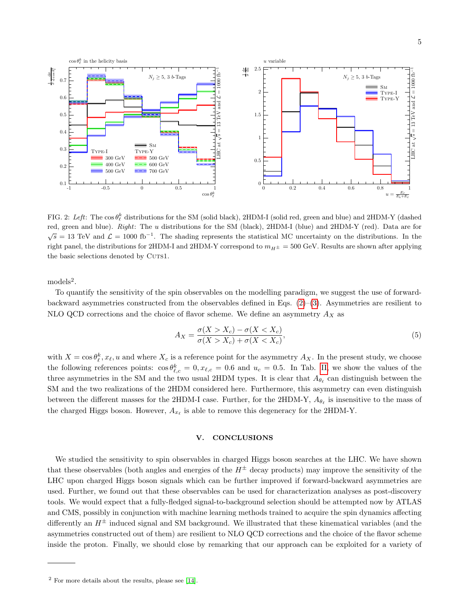

<span id="page-4-0"></span>FIG. 2: Left: The  $\cos \theta_{\ell}^{k}$  distributions for the SM (solid black), 2HDM-I (solid red, green and blue) and 2HDM-Y (dashed red, green and blue). Right: The u distributions for the SM (black), 2HDM-I (blue) and 2HDM-Y (red). Data are for  $\sqrt{s} = 13$  TeV and  $\mathcal{L} = 1000$  fb<sup>-1</sup>. The shading represents the statistical MC uncertainty on the distributions. In the right panel, the distributions for 2HDM-I and 2HDM-Y correspond to  $m_{H^{\pm}} = 500$  GeV. Results are shown after applying the basic selections denoted by CUTS1.

models<sup>2</sup>.

To quantify the sensitivity of the spin observables on the modelling paradigm, we suggest the use of forwardbackward asymmetries constructed from the observables defined in Eqs.  $(2)-(3)$  $(2)-(3)$  $(2)-(3)$ . Asymmetries are resilient to NLO QCD corrections and the choice of flavor scheme. We define an asymmetry  $A_X$  as

$$
A_X = \frac{\sigma(X > X_c) - \sigma(X < X_c)}{\sigma(X > X_c) + \sigma(X < X_c)},
$$
\n<sup>(5)</sup>

with  $X = \cos \theta_{\ell}^{k}$ ,  $x_{\ell}$ , u and where  $X_c$  is a reference point for the asymmetry  $A_X$ . In the present study, we choose the following references points:  $\cos \theta_{\ell,c}^k = 0, x_{\ell,c} = 0.6$  and  $u_c = 0.5$ . In Tab. [II,](#page-3-1) we show the values of the three asymmetries in the SM and the two usual 2HDM types. It is clear that  $A_{\theta_\ell}$  can distinguish between the SM and the two realizations of the 2HDM considered here. Furthermore, this asymmetry can even distinguish between the different masses for the 2HDM-I case. Further, for the 2HDM-Y,  $A_{\theta_{\ell}}$  is insensitive to the mass of the charged Higgs boson. However,  $A_{x_\ell}$  is able to remove this degeneracy for the 2HDM-Y.

## V. CONCLUSIONS

We studied the sensitivity to spin observables in charged Higgs boson searches at the LHC. We have shown that these observables (both angles and energies of the  $H^{\pm}$  decay products) may improve the sensitivity of the LHC upon charged Higgs boson signals which can be further improved if forward-backward asymmetries are used. Further, we found out that these observables can be used for characterization analyses as post-discovery tools. We would expect that a fully-fledged signal-to-background selection should be attempted now by ATLAS and CMS, possibly in conjunction with machine learning methods trained to acquire the spin dynamics affecting differently an  $H^{\pm}$  induced signal and SM background. We illustrated that these kinematical variables (and the asymmetries constructed out of them) are resilient to NLO QCD corrections and the choice of the flavor scheme inside the proton. Finally, we should close by remarking that our approach can be exploited for a variety of

 $2$  For more details about the results, please see [\[14\]](#page-5-7).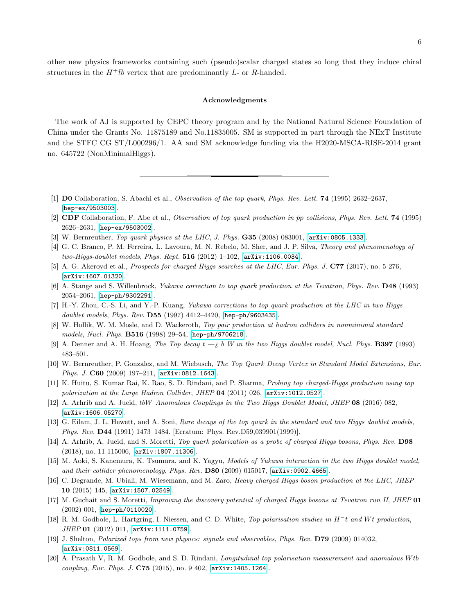other new physics frameworks containing such (pseudo)scalar charged states so long that they induce chiral structures in the  $H^+ \bar{t}b$  vertex that are predominantly L- or R-handed.

## Acknowledgments

The work of AJ is supported by CEPC theory program and by the National Natural Science Foundation of China under the Grants No. 11875189 and No.11835005. SM is supported in part through the NExT Institute and the STFC CG ST/L000296/1. AA and SM acknowledge funding via the H2020-MSCA-RISE-2014 grant no. 645722 (NonMinimalHiggs).

- <span id="page-5-0"></span>[1] D0 Collaboration, S. Abachi et al., Observation of the top quark, Phys. Rev. Lett. 74 (1995) 2632–2637, [[hep-ex/9503003](http://arxiv.org/abs/hep-ex/9503003)].
- <span id="page-5-1"></span>[2] CDF Collaboration, F. Abe et al., Observation of top quark production in  $\bar{p}p$  collisions, Phys. Rev. Lett. **74** (1995) 2626–2631, [[hep-ex/9503002](http://arxiv.org/abs/hep-ex/9503002)].
- <span id="page-5-2"></span>[3] W. Bernreuther, *Top quark physics at the LHC*, *J. Phys.* **G35** (2008) 083001, [[arXiv:0805.1333](http://arxiv.org/abs/0805.1333)].
- <span id="page-5-3"></span>[4] G. C. Branco, P. M. Ferreira, L. Lavoura, M. N. Rebelo, M. Sher, and J. P. Silva, Theory and phenomenology of two-Higgs-doublet models, Phys. Rept.  $516$  (2012) 1-102,  $[arXiv:1106.0034]$  $[arXiv:1106.0034]$  $[arXiv:1106.0034]$ .
- <span id="page-5-4"></span>[5] A. G. Akeroyd et al., *Prospects for charged Higgs searches at the LHC*, *Eur. Phys. J.* **C77** (2017), no. 5 276, [[arXiv:1607.01320](http://arxiv.org/abs/1607.01320)].
- <span id="page-5-5"></span>[6] A. Stange and S. Willenbrock, Yukawa correction to top quark production at the Tevatron, Phys. Rev. D48 (1993) 2054–2061, [[hep-ph/9302291](http://arxiv.org/abs/hep-ph/9302291)].
- [7] H.-Y. Zhou, C.-S. Li, and Y.-P. Kuang, Yukawa corrections to top quark production at the LHC in two Higgs doublet models, Phys. Rev. D55 (1997) 4412–4420, [[hep-ph/9603435](http://arxiv.org/abs/hep-ph/9603435)].
- [8] W. Hollik, W. M. Mosle, and D. Wackeroth, Top pair production at hadron colliders in nonminimal standard models, Nucl. Phys. B516 (1998) 29–54, [[hep-ph/9706218](http://arxiv.org/abs/hep-ph/9706218)].
- [9] A. Denner and A. H. Hoang, The Top decay  $t \lambda b$  W in the two Higgs doublet model, Nucl. Phys. **B397** (1993) 483–501.
- [10] W. Bernreuther, P. Gonzalez, and M. Wiebusch, The Top Quark Decay Vertex in Standard Model Extensions, Eur. Phys. J. C60 (2009) 197–211, [[arXiv:0812.1643](http://arxiv.org/abs/0812.1643)].
- [11] K. Huitu, S. Kumar Rai, K. Rao, S. D. Rindani, and P. Sharma, Probing top charged-Higgs production using top polarization at the Large Hadron Collider, JHEP 04 (2011) 026, [[arXiv:1012.0527](http://arxiv.org/abs/1012.0527)].
- [12] A. Arhrib and A. Jueid, tbW Anomalous Couplings in the Two Higgs Doublet Model, JHEP 08 (2016) 082, [[arXiv:1606.05270](http://arxiv.org/abs/1606.05270)].
- <span id="page-5-6"></span>[13] G. Eilam, J. L. Hewett, and A. Soni, Rare decays of the top quark in the standard and two Higgs doublet models, Phys. Rev. D44 (1991) 1473–1484. [Erratum: Phys. Rev.D59,039901(1999)].
- <span id="page-5-7"></span>[14] A. Arhrib, A. Jueid, and S. Moretti, Top quark polarization as a probe of charged Higgs bosons, Phys. Rev. D98 (2018), no. 11 115006, [[arXiv:1807.11306](http://arxiv.org/abs/1807.11306)].
- <span id="page-5-8"></span>[15] M. Aoki, S. Kanemura, K. Tsumura, and K. Yagyu, Models of Yukawa interaction in the two Higgs doublet model, and their collider phenomenology, Phys. Rev. D80 (2009) 015017, [[arXiv:0902.4665](http://arxiv.org/abs/0902.4665)].
- <span id="page-5-9"></span>[16] C. Degrande, M. Ubiali, M. Wiesemann, and M. Zaro, Heavy charged Higgs boson production at the LHC, JHEP 10 (2015) 145, [[arXiv:1507.02549](http://arxiv.org/abs/1507.02549)].
- <span id="page-5-13"></span>[17] M. Guchait and S. Moretti, Improving the discovery potential of charged Higgs bosons at Tevatron run II, JHEP 01 (2002) 001, [[hep-ph/0110020](http://arxiv.org/abs/hep-ph/0110020)].
- <span id="page-5-10"></span>[18] R. M. Godbole, L. Hartgring, I. Niessen, and C. D. White, Top polarisation studies in H<sup>−t</sup> and Wt production, JHEP 01 (2012) 011, [[arXiv:1111.0759](http://arxiv.org/abs/1111.0759)].
- <span id="page-5-11"></span>[19] J. Shelton, Polarized tops from new physics: signals and observables, Phys. Rev. D79 (2009) 014032, [[arXiv:0811.0569](http://arxiv.org/abs/0811.0569)].
- <span id="page-5-12"></span>[20] A. Prasath V, R. M. Godbole, and S. D. Rindani, Longitudinal top polarisation measurement and anomalous W tb coupling, Eur. Phys. J. C75 (2015), no. 9 402, [[arXiv:1405.1264](http://arxiv.org/abs/1405.1264)].